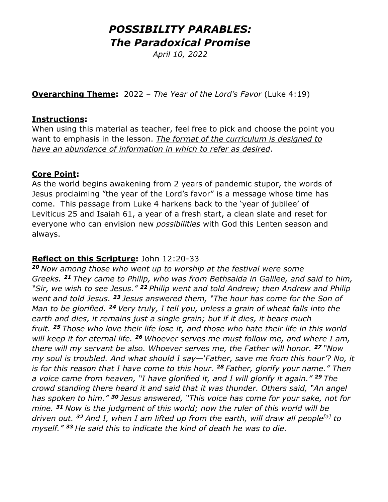# *POSSIBILITY PARABLES: The Paradoxical Promise*

*April 10, 2022* 

**Overarching Theme:** 2022 – *The Year of the Lord's Favor* (Luke 4:19)

#### **Instructions:**

When using this material as teacher, feel free to pick and choose the point you want to emphasis in the lesson. *The format of the curriculum is designed to have an abundance of information in which to refer as desired*.

### **Core Point:**

As the world begins awakening from 2 years of pandemic stupor, the words of Jesus proclaiming "the year of the Lord's favor" is a message whose time has come. This passage from Luke 4 harkens back to the 'year of jubilee' of Leviticus 25 and Isaiah 61, a year of a fresh start, a clean slate and reset for everyone who can envision new *possibilities* with God this Lenten season and always.

### **Reflect on this Scripture:** John 12:20-33

*<sup>20</sup> Now among those who went up to worship at the festival were some Greeks. <sup>21</sup> They came to Philip, who was from Bethsaida in Galilee, and said to him, "Sir, we wish to see Jesus." <sup>22</sup> Philip went and told Andrew; then Andrew and Philip went and told Jesus. <sup>23</sup> Jesus answered them, "The hour has come for the Son of Man to be glorified. <sup>24</sup> Very truly, I tell you, unless a grain of wheat falls into the earth and dies, it remains just a single grain; but if it dies, it bears much fruit. <sup>25</sup> Those who love their life lose it, and those who hate their life in this world will keep it for eternal life. <sup>26</sup> Whoever serves me must follow me, and where I am, there will my servant be also. Whoever serves me, the Father will honor. <sup>27</sup> "Now my soul is troubled. And what should I say—'Father, save me from this hour'? No, it is for this reason that I have come to this hour. <sup>28</sup> Father, glorify your name." Then a voice came from heaven, "I have glorified it, and I will glorify it again." <sup>29</sup> The crowd standing there heard it and said that it was thunder. Others said, "An angel has spoken to him." <sup>30</sup> Jesus answered, "This voice has come for your sake, not for mine. <sup>31</sup> Now is the judgment of this world; now the ruler of this world will be driven out. <sup>32</sup> And I, when I am lifted up from the earth, will draw all people[\[a\]](https://www.biblegateway.com/passage/?search=john12:20-36&version=NRSV;NIV;CEB#fen-NRSV-26602a) to myself." <sup>33</sup> He said this to indicate the kind of death he was to die.*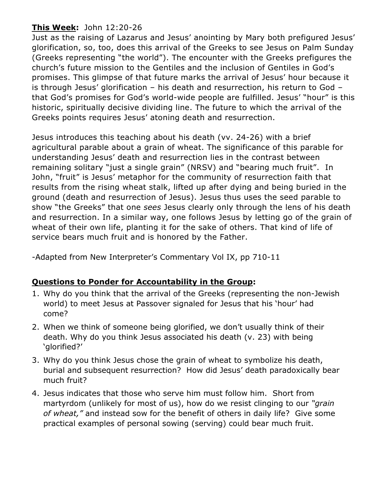## **This Week:** John 12:20-26

Just as the raising of Lazarus and Jesus' anointing by Mary both prefigured Jesus' glorification, so, too, does this arrival of the Greeks to see Jesus on Palm Sunday (Greeks representing "the world"). The encounter with the Greeks prefigures the church's future mission to the Gentiles and the inclusion of Gentiles in God's promises. This glimpse of that future marks the arrival of Jesus' hour because it is through Jesus' glorification – his death and resurrection, his return to God – that God's promises for God's world-wide people are fulfilled. Jesus' "hour" is this historic, spiritually decisive dividing line. The future to which the arrival of the Greeks points requires Jesus' atoning death and resurrection.

Jesus introduces this teaching about his death (vv. 24-26) with a brief agricultural parable about a grain of wheat. The significance of this parable for understanding Jesus' death and resurrection lies in the contrast between remaining solitary "just a single grain" (NRSV) and "bearing much fruit". In John, "fruit" is Jesus' metaphor for the community of resurrection faith that results from the rising wheat stalk, lifted up after dying and being buried in the ground (death and resurrection of Jesus). Jesus thus uses the seed parable to show "the Greeks" that one *sees* Jesus clearly only through the lens of his death and resurrection. In a similar way, one follows Jesus by letting go of the grain of wheat of their own life, planting it for the sake of others. That kind of life of service bears much fruit and is honored by the Father.

-Adapted from New Interpreter's Commentary Vol IX, pp 710-11

## **Questions to Ponder for Accountability in the Group:**

- 1. Why do you think that the arrival of the Greeks (representing the non-Jewish world) to meet Jesus at Passover signaled for Jesus that his 'hour' had come?
- 2. When we think of someone being glorified, we don't usually think of their death. Why do you think Jesus associated his death (v. 23) with being 'glorified?'
- 3. Why do you think Jesus chose the grain of wheat to symbolize his death, burial and subsequent resurrection? How did Jesus' death paradoxically bear much fruit?
- 4. Jesus indicates that those who serve him must follow him. Short from martyrdom (unlikely for most of us), how do we resist clinging to our *"grain of wheat,"* and instead sow for the benefit of others in daily life? Give some practical examples of personal sowing (serving) could bear much fruit.